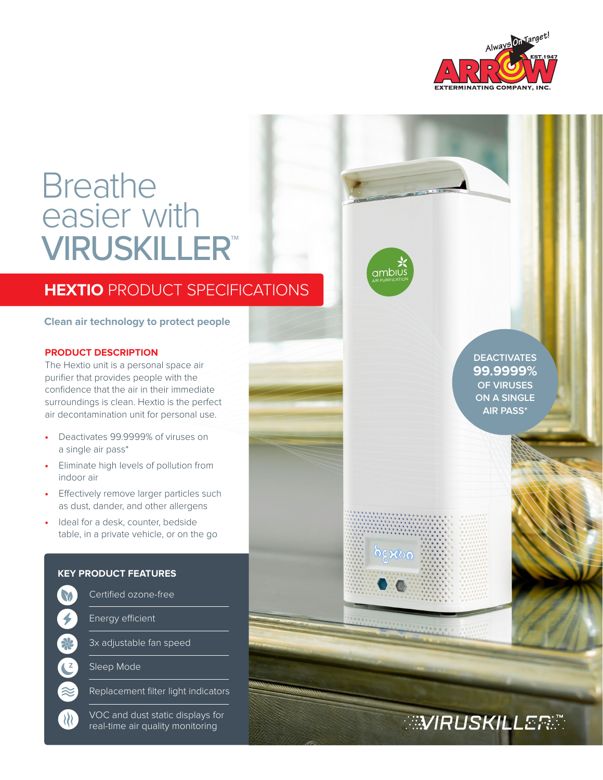

# **Breathe** easier with VIRUSKILLER™

## **HEXTIO** PRODUCT SPECIFICATIONS

**Clean air technology to protect people**

#### **PRODUCT DESCRIPTION**

The Hextio unit is a personal space air purifier that provides people with the confidence that the air in their immediate surroundings is clean. Hextio is the perfect air decontamination unit for personal use.

- Deactivates 99.9999% of viruses on a single air pass\*
- Eliminate high levels of pollution from indoor air
- Effectively remove larger particles such as dust, dander, and other allergens
- Ideal for a desk, counter, bedside table, in a private vehicle, or on the go

## Certified ozone-free M  $\bigtriangledown$ 28 C  $\approx$  $\mathcal{W}$

**KEY PRODUCT FEATURES**

Energy efficient

3x adjustable fan speed

Sleep Mode

Replacement filter light indicators

VOC and dust static displays for real-time air quality monitoring

**DEACTIVATES 99.9999% OF VIRUSES ON A SINGLE AIR PASS\***

**WIRUSKILLERE** 

**რვჯრი**